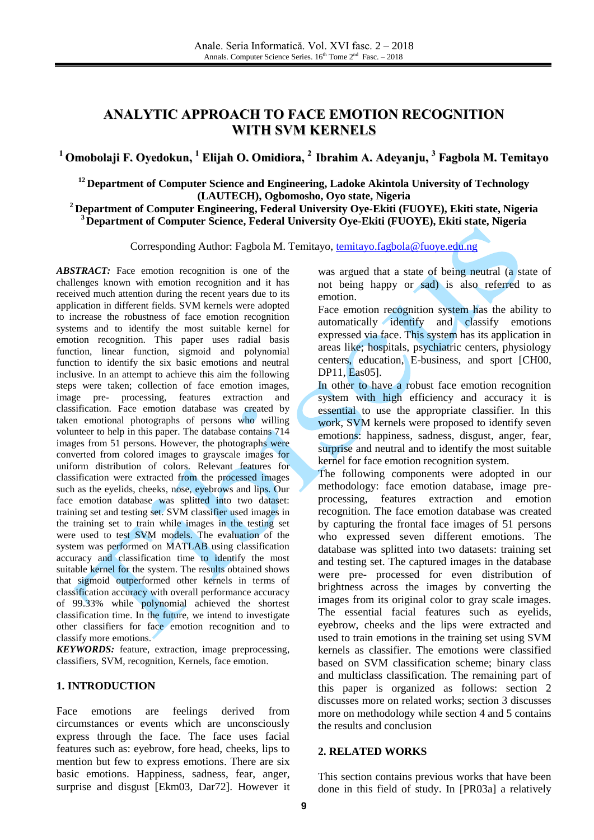# **ANALYTIC APPROACH TO FACE EMOTION RECOGNITION WITH SVM KERNELS**

**<sup>1</sup> Omobolaji F. Oyedokun, <sup>1</sup> Elijah O. Omidiora, 2 Ibrahim A. Adeyanju, 3 Fagbola M. Temitayo**

**<sup>12</sup>Department of Computer Science and Engineering, Ladoke Akintola University of Technology (LAUTECH), Ogbomosho, Oyo state, Nigeria**

**<sup>2</sup>Department of Computer Engineering, Federal University Oye-Ekiti (FUOYE), Ekiti state, Nigeria <sup>3</sup>Department of Computer Science, Federal University Oye-Ekiti (FUOYE), Ekiti state, Nigeria**

Corresponding Author: Fagbola M. Temitayo, [temitayo.fagbola@fuoye.edu.ng](mailto:temitayo.fagbola@fuoye.edu.ng)

*ABSTRACT:* Face emotion recognition is one of the challenges known with emotion recognition and it has received much attention during the recent years due to its application in different fields. SVM kernels were adopted to increase the robustness of face emotion recognition systems and to identify the most suitable kernel for emotion recognition. This paper uses radial basis function, linear function, sigmoid and polynomial function to identify the six basic emotions and neutral inclusive. In an attempt to achieve this aim the following steps were taken; collection of face emotion images, image pre- processing, features extraction and classification. Face emotion database was created by taken emotional photographs of persons who willing volunteer to help in this paper. The database contains 714 images from 51 persons. However, the photographs were converted from colored images to grayscale images for uniform distribution of colors. Relevant features for classification were extracted from the processed images such as the eyelids, cheeks, nose, eyebrows and lips. Our face emotion database was splitted into two dataset: training set and testing set. SVM classifier used images in the training set to train while images in the testing set were used to test SVM models. The evaluation of the system was performed on MATLAB using classification accuracy and classification time to identify the most suitable kernel for the system. The results obtained shows that sigmoid outperformed other kernels in terms of classification accuracy with overall performance accuracy of 99.33% while polynomial achieved the shortest classification time. In the future, we intend to investigate other classifiers for face emotion recognition and to classify more emotions.

*KEYWORDS:* feature, extraction, image preprocessing, classifiers, SVM, recognition, Kernels, face emotion.

#### **1. INTRODUCTION**

Face emotions are feelings derived from circumstances or events which are unconsciously express through the face. The face uses facial features such as: eyebrow, fore head, cheeks, lips to mention but few to express emotions. There are six basic emotions. Happiness, sadness, fear, anger, surprise and disgust [Ekm03, Dar72]. However it was argued that a state of being neutral (a state of not being happy or sad) is also referred to as emotion.

Face emotion recognition system has the ability to automatically identify and classify emotions expressed via face. This system has its application in areas like; hospitals, psychiatric centers, physiology centers, education, E-business, and sport [CH00, DP11, Eas05].

In other to have a robust face emotion recognition system with high efficiency and accuracy it is essential to use the appropriate classifier. In this work, SVM kernels were proposed to identify seven emotions: happiness, sadness, disgust, anger, fear, surprise and neutral and to identify the most suitable kernel for face emotion recognition system.

The following components were adopted in our methodology: face emotion database, image preprocessing, features extraction and emotion recognition. The face emotion database was created by capturing the frontal face images of 51 persons who expressed seven different emotions. The database was splitted into two datasets: training set and testing set. The captured images in the database were pre- processed for even distribution of brightness across the images by converting the images from its original color to gray scale images. The essential facial features such as eyelids, eyebrow, cheeks and the lips were extracted and used to train emotions in the training set using SVM kernels as classifier. The emotions were classified based on SVM classification scheme; binary class and multiclass classification. The remaining part of this paper is organized as follows: section 2 discusses more on related works; section 3 discusses more on methodology while section 4 and 5 contains the results and conclusion

#### **2. RELATED WORKS**

This section contains previous works that have been done in this field of study. In [PR03a] a relatively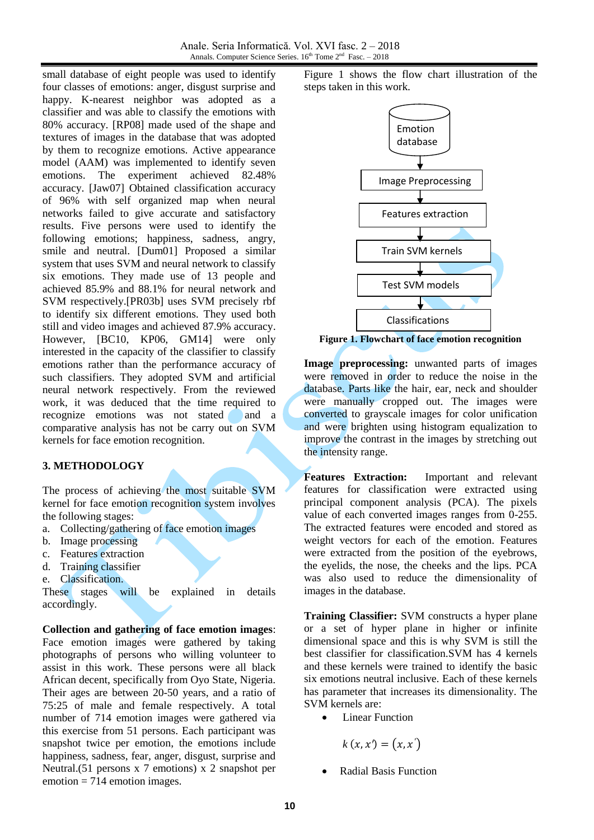small database of eight people was used to identify four classes of emotions: anger, disgust surprise and happy. K-nearest neighbor was adopted as a classifier and was able to classify the emotions with 80% accuracy. [RP08] made used of the shape and textures of images in the database that was adopted by them to recognize emotions. Active appearance model (AAM) was implemented to identify seven emotions. The experiment achieved 82.48% accuracy. [Jaw07] Obtained classification accuracy of 96% with self organized map when neural networks failed to give accurate and satisfactory results. Five persons were used to identify the following emotions; happiness, sadness, angry, smile and neutral. [Dum01] Proposed a similar system that uses SVM and neural network to classify six emotions. They made use of 13 people and achieved 85.9% and 88.1% for neural network and SVM respectively.[PR03b] uses SVM precisely rbf to identify six different emotions. They used both still and video images and achieved 87.9% accuracy. However, [BC10, KP06, GM14] were only interested in the capacity of the classifier to classify emotions rather than the performance accuracy of such classifiers. They adopted SVM and artificial neural network respectively. From the reviewed work, it was deduced that the time required to recognize emotions was not stated and a comparative analysis has not be carry out on SVM kernels for face emotion recognition.

### **3. METHODOLOGY**

The process of achieving the most suitable SVM kernel for face emotion recognition system involves the following stages:

- a. Collecting/gathering of face emotion images
- b. Image processing
- c. Features extraction
- d. Training classifier
- e. Classification.

These stages will be explained in details accordingly.

**Collection and gathering of face emotion images**: Face emotion images were gathered by taking photographs of persons who willing volunteer to assist in this work. These persons were all black African decent, specifically from Oyo State, Nigeria. Their ages are between 20-50 years, and a ratio of 75:25 of male and female respectively. A total number of 714 emotion images were gathered via this exercise from 51 persons. Each participant was snapshot twice per emotion, the emotions include happiness, sadness, fear, anger, disgust, surprise and Neutral.(51 persons x 7 emotions) x 2 snapshot per  $emotion = 714$  emotion images.

Figure 1 shows the flow chart illustration of the steps taken in this work.



**Figure 1. Flowchart of face emotion recognition**

**Image preprocessing:** unwanted parts of images were removed in order to reduce the noise in the database. Parts like the hair, ear, neck and shoulder were manually cropped out. The images were converted to grayscale images for color unification and were brighten using histogram equalization to improve the contrast in the images by stretching out the intensity range.

**Features Extraction:** Important and relevant features for classification were extracted using principal component analysis (PCA). The pixels value of each converted images ranges from 0-255. The extracted features were encoded and stored as weight vectors for each of the emotion. Features were extracted from the position of the eyebrows, the eyelids, the nose, the cheeks and the lips. PCA was also used to reduce the dimensionality of images in the database.

**Training Classifier:** SVM constructs a hyper plane or a set of hyper plane in higher or infinite dimensional space and this is why SVM is still the best classifier for classification.SVM has 4 kernels and these kernels were trained to identify the basic six emotions neutral inclusive. Each of these kernels has parameter that increases its dimensionality. The SVM kernels are:

Linear Function

 $k(x, x') = (x, x')$ 

Radial Basis Function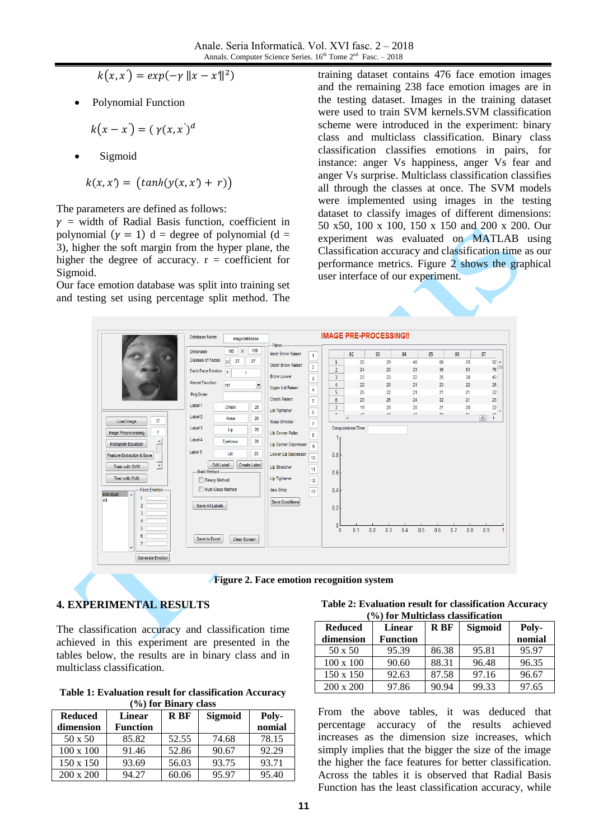$\hat{y} = exp(-\gamma ||x - x'||^2)$ 

Polynomial Function

$$
k(x-x')=(\gamma(x,x')^d
$$

Sigmoid

$$
k(x, x') = (tanh(y(x, x') + r))
$$

The parameters are defined as follows:

 $y =$  width of Radial Basis function, coefficient in polynomial  $(\gamma = 1)$  d = degree of polynomial (d = 3), higher the soft margin from the hyper plane, the higher the degree of accuracy.  $r =$  coefficient for Sigmoid.

Our face emotion database was split into training set and testing set using percentage split method. The training dataset contains 476 face emotion images and the remaining 238 face emotion images are in the testing dataset. Images in the training dataset were used to train SVM kernels.SVM classification scheme were introduced in the experiment: binary class and multiclass classification. Binary class classification classifies emotions in pairs, for instance: anger Vs happiness, anger Vs fear and anger Vs surprise. Multiclass classification classifies all through the classes at once. The SVM models were implemented using images in the testing dataset to classify images of different dimensions: 50 x50, 100 x 100, 150 x 150 and 200 x 200. Our experiment was evaluated on MATLAB using Classification accuracy and classification time as our performance metrics. Figure 2 shows the graphical user interface of our experiment.



**Figure 2. Face emotion recognition system**

## **4. EXPERIMENTAL RESULTS**

The classification accuracy and classification time achieved in this experiment are presented in the tables below, the results are in binary class and in multiclass classification.

**Table 1: Evaluation result for classification Accuracy (%) for Binary class**

| -----            |                 |       |                |        |  |
|------------------|-----------------|-------|----------------|--------|--|
| <b>Reduced</b>   | Linear          | R BF  | <b>Sigmoid</b> | Poly-  |  |
| dimension        | <b>Function</b> |       |                | nomial |  |
| 50 x 50          | 85.82           | 52.55 | 74.68          | 78.15  |  |
| $100 \times 100$ | 91.46           | 52.86 | 90.67          | 92.29  |  |
| 150 x 150        | 93.69           | 56.03 | 93.75          | 93.71  |  |
| $200 \times 200$ | 94.27           | 60.06 | 95.97          | 95.40  |  |

**Table 2: Evaluation result for classification Accuracy (%) for Multiclass classification**

| 707 IUI TYLUILICIASS CIASSIIICAUUII |                 |       |         |        |
|-------------------------------------|-----------------|-------|---------|--------|
| <b>Reduced</b>                      | Linear          | R BF  | Sigmoid | Poly-  |
| dimension                           | <b>Function</b> |       |         | nomial |
| 50 x 50                             | 95.39           | 86.38 | 95.81   | 95.97  |
| $100 \times 100$                    | 90.60           | 88.31 | 96.48   | 96.35  |
| 150 x 150                           | 92.63           | 87.58 | 97.16   | 96.67  |
| $200 \times 200$                    | 97.86           | 90.94 | 99.33   | 97.65  |

From the above tables, it was deduced that percentage accuracy of the results achieved increases as the dimension size increases, which simply implies that the bigger the size of the image the higher the face features for better classification. Across the tables it is observed that Radial Basis Function has the least classification accuracy, while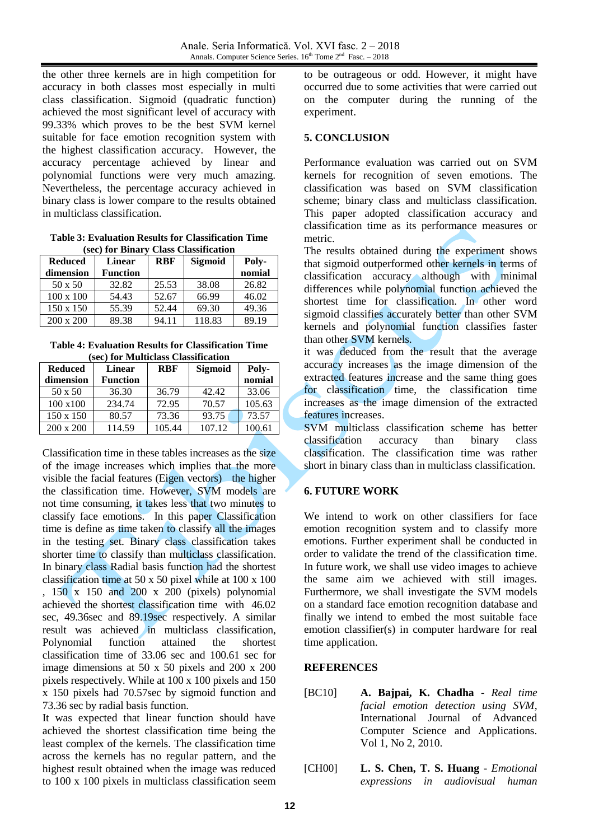the other three kernels are in high competition for accuracy in both classes most especially in multi class classification. Sigmoid (quadratic function) achieved the most significant level of accuracy with 99.33% which proves to be the best SVM kernel suitable for face emotion recognition system with the highest classification accuracy. However, the accuracy percentage achieved by linear and polynomial functions were very much amazing. Nevertheless, the percentage accuracy achieved in binary class is lower compare to the results obtained in multiclass classification.

**Table 3: Evaluation Results for Classification Time (sec) for Binary Class Classification**

| <b>Reduced</b>   | Linear          | <b>RBF</b> | Sigmoid | Poly-  |
|------------------|-----------------|------------|---------|--------|
| dimension        | <b>Function</b> |            |         | nomial |
| 50 x 50          | 32.82           | 25.53      | 38.08   | 26.82  |
| $100 \times 100$ | 54.43           | 52.67      | 66.99   | 46.02  |
| 150 x 150        | 55.39           | 52.44      | 69.30   | 49.36  |
| $200 \times 200$ | 89.38           | 94.11      | 118.83  | 89.19  |

**Table 4: Evaluation Results for Classification Time (sec) for Multiclass Classification**

| bee, for haddenlings chassification |                 |            |                |        |  |
|-------------------------------------|-----------------|------------|----------------|--------|--|
| <b>Reduced</b>                      | <b>Linear</b>   | <b>RBF</b> | <b>Sigmoid</b> | Poly-  |  |
| dimension                           | <b>Function</b> |            |                | nomial |  |
| 50 x 50                             | 36.30           | 36.79      | 42.42          | 33.06  |  |
| $100 \times 100$                    | 234.74          | 72.95      | 70.57          | 105.63 |  |
| 150 x 150                           | 80.57           | 73.36      | 93.75          | 73.57  |  |
| $200 \times 200$                    | 114.59          | 105.44     | 107.12         | 100.61 |  |

Classification time in these tables increases as the size of the image increases which implies that the more visible the facial features (Eigen vectors) the higher the classification time. However, SVM models are not time consuming, it takes less that two minutes to classify face emotions. In this paper Classification time is define as time taken to classify all the images in the testing set. Binary class classification takes shorter time to classify than multiclass classification. In binary class Radial basis function had the shortest classification time at 50 x 50 pixel while at 100 x 100 , 150 x 150 and 200 x 200 (pixels) polynomial achieved the shortest classification time with 46.02 sec, 49.36sec and 89.19sec respectively. A similar result was achieved in multiclass classification, Polynomial function attained the shortest classification time of 33.06 sec and 100.61 sec for image dimensions at 50 x 50 pixels and 200 x 200 pixels respectively. While at 100 x 100 pixels and 150 x 150 pixels had 70.57sec by sigmoid function and 73.36 sec by radial basis function.

It was expected that linear function should have achieved the shortest classification time being the least complex of the kernels. The classification time across the kernels has no regular pattern, and the highest result obtained when the image was reduced to 100 x 100 pixels in multiclass classification seem to be outrageous or odd. However, it might have occurred due to some activities that were carried out on the computer during the running of the experiment.

### **5. CONCLUSION**

Performance evaluation was carried out on SVM kernels for recognition of seven emotions. The classification was based on SVM classification scheme; binary class and multiclass classification. This paper adopted classification accuracy and classification time as its performance measures or metric.

The results obtained during the experiment shows that sigmoid outperformed other kernels in terms of classification accuracy although with minimal differences while polynomial function achieved the shortest time for classification. In other word sigmoid classifies accurately better than other SVM kernels and polynomial function classifies faster than other SVM kernels.

it was deduced from the result that the average accuracy increases as the image dimension of the extracted features increase and the same thing goes for classification time, the classification time increases as the image dimension of the extracted features increases.

SVM multiclass classification scheme has better classification accuracy than binary class classification. The classification time was rather short in binary class than in multiclass classification.

## **6. FUTURE WORK**

We intend to work on other classifiers for face emotion recognition system and to classify more emotions. Further experiment shall be conducted in order to validate the trend of the classification time. In future work, we shall use video images to achieve the same aim we achieved with still images. Furthermore, we shall investigate the SVM models on a standard face emotion recognition database and finally we intend to embed the most suitable face emotion classifier(s) in computer hardware for real time application.

### **REFERENCES**

- [BC10] **A. Bajpai, K. Chadha** *Real time facial emotion detection using SVM*, International Journal of Advanced Computer Science and Applications. Vol 1, No 2, 2010.
- [CH00] **L. S. Chen, T. S. Huang** *Emotional expressions in audiovisual human*